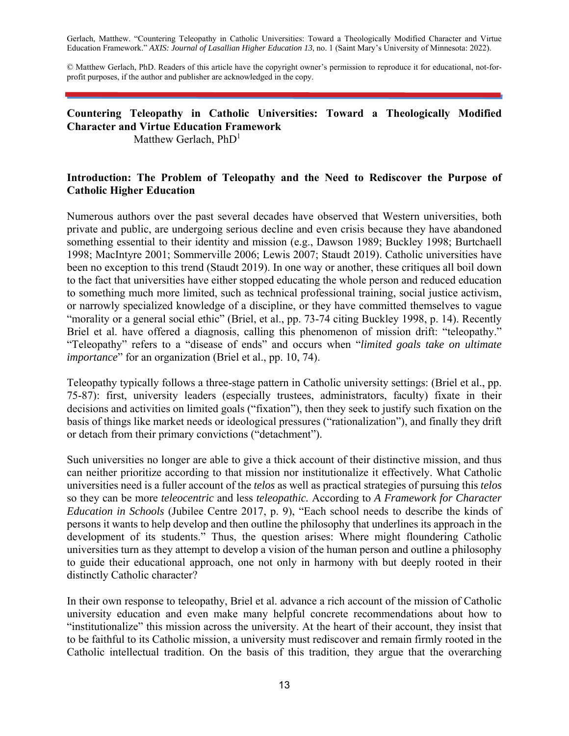Gerlach, Matthew. "Countering Teleopathy in Catholic Universities: Toward a Theologically Modified Character and Virtue Education Framework." *AXIS: Journal of Lasallian Higher Education 13*, no. 1 (Saint Mary's University of Minnesota: 2022).

© Matthew Gerlach, PhD. Readers of this article have the copyright owner's permission to reproduce it for educational, not-forprofit purposes, if the author and publisher are acknowledged in the copy.

# **Countering Teleopathy in Catholic Universities: Toward a Theologically Modified Character and Virtue Education Framework**

Matthew Gerlach,  $PhD<sup>1</sup>$ 

## **Introduction: The Problem of Teleopathy and the Need to Rediscover the Purpose of Catholic Higher Education**

Numerous authors over the past several decades have observed that Western universities, both private and public, are undergoing serious decline and even crisis because they have abandoned something essential to their identity and mission (e.g., Dawson 1989; Buckley 1998; Burtchaell 1998; MacIntyre 2001; Sommerville 2006; Lewis 2007; Staudt 2019). Catholic universities have been no exception to this trend (Staudt 2019). In one way or another, these critiques all boil down to the fact that universities have either stopped educating the whole person and reduced education to something much more limited, such as technical professional training, social justice activism, or narrowly specialized knowledge of a discipline, or they have committed themselves to vague "morality or a general social ethic" (Briel, et al., pp. 73-74 citing Buckley 1998, p. 14). Recently Briel et al. have offered a diagnosis, calling this phenomenon of mission drift: "teleopathy." "Teleopathy" refers to a "disease of ends" and occurs when "*limited goals take on ultimate importance*" for an organization (Briel et al., pp. 10, 74).

Teleopathy typically follows a three-stage pattern in Catholic university settings: (Briel et al., pp. 75-87): first, university leaders (especially trustees, administrators, faculty) fixate in their decisions and activities on limited goals ("fixation"), then they seek to justify such fixation on the basis of things like market needs or ideological pressures ("rationalization"), and finally they drift or detach from their primary convictions ("detachment").

Such universities no longer are able to give a thick account of their distinctive mission, and thus can neither prioritize according to that mission nor institutionalize it effectively. What Catholic universities need is a fuller account of the *telos* as well as practical strategies of pursuing this *telos*  so they can be more *teleocentric* and less *teleopathic.* According to *A Framework for Character Education in Schools* (Jubilee Centre 2017, p. 9), "Each school needs to describe the kinds of persons it wants to help develop and then outline the philosophy that underlines its approach in the development of its students." Thus, the question arises: Where might floundering Catholic universities turn as they attempt to develop a vision of the human person and outline a philosophy to guide their educational approach, one not only in harmony with but deeply rooted in their distinctly Catholic character?

In their own response to teleopathy, Briel et al. advance a rich account of the mission of Catholic university education and even make many helpful concrete recommendations about how to "institutionalize" this mission across the university. At the heart of their account, they insist that to be faithful to its Catholic mission, a university must rediscover and remain firmly rooted in the Catholic intellectual tradition. On the basis of this tradition, they argue that the overarching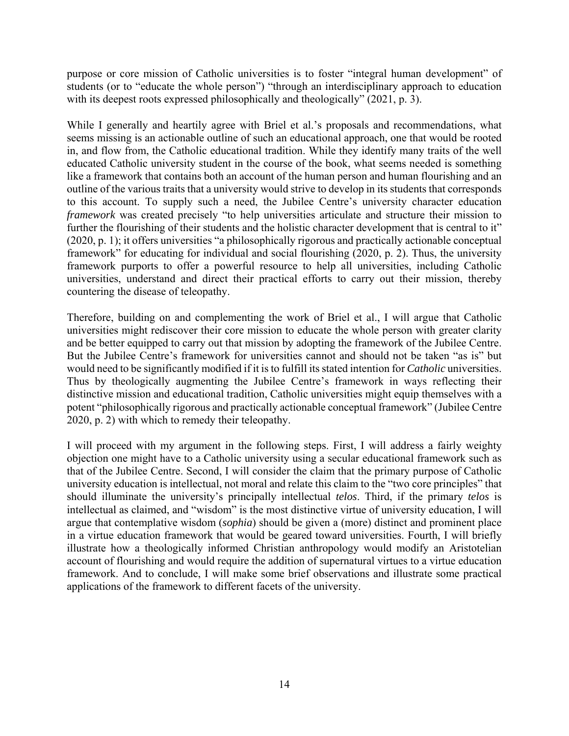purpose or core mission of Catholic universities is to foster "integral human development" of students (or to "educate the whole person") "through an interdisciplinary approach to education with its deepest roots expressed philosophically and theologically" (2021, p. 3).

While I generally and heartily agree with Briel et al.'s proposals and recommendations, what seems missing is an actionable outline of such an educational approach, one that would be rooted in, and flow from, the Catholic educational tradition. While they identify many traits of the well educated Catholic university student in the course of the book, what seems needed is something like a framework that contains both an account of the human person and human flourishing and an outline of the various traits that a university would strive to develop in its students that corresponds to this account. To supply such a need, the Jubilee Centre's university character education *framework* was created precisely "to help universities articulate and structure their mission to further the flourishing of their students and the holistic character development that is central to it" (2020, p. 1); it offers universities "a philosophically rigorous and practically actionable conceptual framework" for educating for individual and social flourishing (2020, p. 2). Thus, the university framework purports to offer a powerful resource to help all universities, including Catholic universities, understand and direct their practical efforts to carry out their mission, thereby countering the disease of teleopathy.

Therefore, building on and complementing the work of Briel et al., I will argue that Catholic universities might rediscover their core mission to educate the whole person with greater clarity and be better equipped to carry out that mission by adopting the framework of the Jubilee Centre. But the Jubilee Centre's framework for universities cannot and should not be taken "as is" but would need to be significantly modified if it is to fulfill its stated intention for *Catholic* universities. Thus by theologically augmenting the Jubilee Centre's framework in ways reflecting their distinctive mission and educational tradition, Catholic universities might equip themselves with a potent "philosophically rigorous and practically actionable conceptual framework" (Jubilee Centre 2020, p. 2) with which to remedy their teleopathy.

I will proceed with my argument in the following steps. First, I will address a fairly weighty objection one might have to a Catholic university using a secular educational framework such as that of the Jubilee Centre. Second, I will consider the claim that the primary purpose of Catholic university education is intellectual, not moral and relate this claim to the "two core principles" that should illuminate the university's principally intellectual *telos*. Third, if the primary *telos* is intellectual as claimed, and "wisdom" is the most distinctive virtue of university education, I will argue that contemplative wisdom (*sophia*) should be given a (more) distinct and prominent place in a virtue education framework that would be geared toward universities. Fourth, I will briefly illustrate how a theologically informed Christian anthropology would modify an Aristotelian account of flourishing and would require the addition of supernatural virtues to a virtue education framework. And to conclude, I will make some brief observations and illustrate some practical applications of the framework to different facets of the university.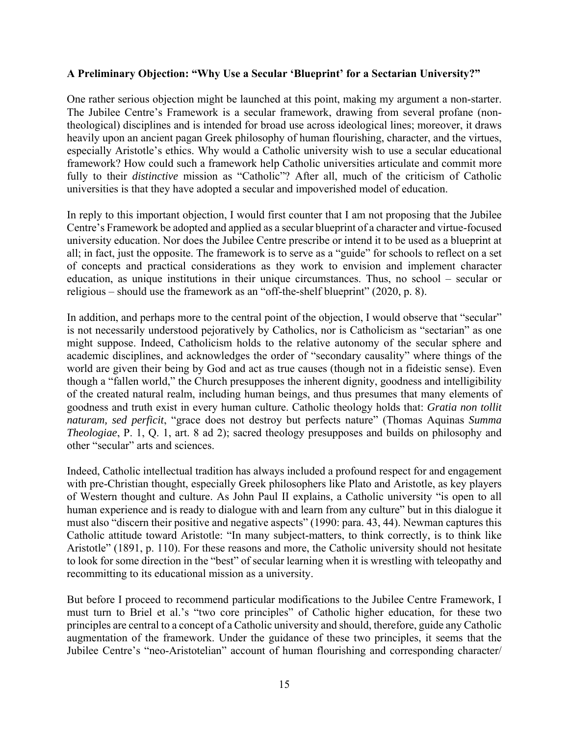#### **A Preliminary Objection: "Why Use a Secular 'Blueprint' for a Sectarian University?"**

One rather serious objection might be launched at this point, making my argument a non-starter. The Jubilee Centre's Framework is a secular framework, drawing from several profane (nontheological) disciplines and is intended for broad use across ideological lines; moreover, it draws heavily upon an ancient pagan Greek philosophy of human flourishing, character, and the virtues, especially Aristotle's ethics. Why would a Catholic university wish to use a secular educational framework? How could such a framework help Catholic universities articulate and commit more fully to their *distinctive* mission as "Catholic"? After all, much of the criticism of Catholic universities is that they have adopted a secular and impoverished model of education.

In reply to this important objection, I would first counter that I am not proposing that the Jubilee Centre's Framework be adopted and applied as a secular blueprint of a character and virtue-focused university education. Nor does the Jubilee Centre prescribe or intend it to be used as a blueprint at all; in fact, just the opposite. The framework is to serve as a "guide" for schools to reflect on a set of concepts and practical considerations as they work to envision and implement character education, as unique institutions in their unique circumstances. Thus, no school – secular or religious – should use the framework as an "off-the-shelf blueprint" (2020, p. 8).

In addition, and perhaps more to the central point of the objection, I would observe that "secular" is not necessarily understood pejoratively by Catholics, nor is Catholicism as "sectarian" as one might suppose. Indeed, Catholicism holds to the relative autonomy of the secular sphere and academic disciplines, and acknowledges the order of "secondary causality" where things of the world are given their being by God and act as true causes (though not in a fideistic sense). Even though a "fallen world," the Church presupposes the inherent dignity, goodness and intelligibility of the created natural realm, including human beings, and thus presumes that many elements of goodness and truth exist in every human culture. Catholic theology holds that: *Gratia non tollit naturam, sed perficit*, "grace does not destroy but perfects nature" (Thomas Aquinas *Summa Theologiae*, P. 1, Q. 1, art. 8 ad 2); sacred theology presupposes and builds on philosophy and other "secular" arts and sciences.

Indeed, Catholic intellectual tradition has always included a profound respect for and engagement with pre-Christian thought, especially Greek philosophers like Plato and Aristotle, as key players of Western thought and culture. As John Paul II explains, a Catholic university "is open to all human experience and is ready to dialogue with and learn from any culture" but in this dialogue it must also "discern their positive and negative aspects" (1990: para. 43, 44). Newman captures this Catholic attitude toward Aristotle: "In many subject-matters, to think correctly, is to think like Aristotle" (1891, p. 110). For these reasons and more, the Catholic university should not hesitate to look for some direction in the "best" of secular learning when it is wrestling with teleopathy and recommitting to its educational mission as a university.

But before I proceed to recommend particular modifications to the Jubilee Centre Framework, I must turn to Briel et al.'s "two core principles" of Catholic higher education, for these two principles are central to a concept of a Catholic university and should, therefore, guide any Catholic augmentation of the framework. Under the guidance of these two principles, it seems that the Jubilee Centre's "neo-Aristotelian" account of human flourishing and corresponding character/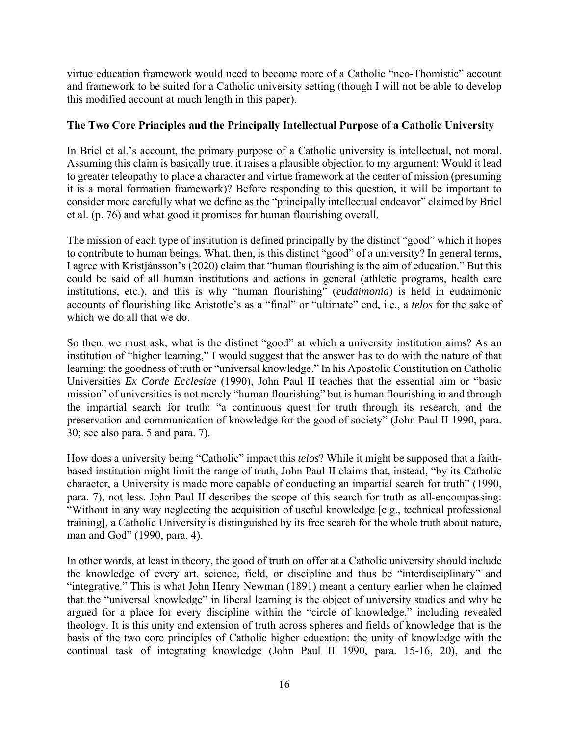virtue education framework would need to become more of a Catholic "neo-Thomistic" account and framework to be suited for a Catholic university setting (though I will not be able to develop this modified account at much length in this paper).

## **The Two Core Principles and the Principally Intellectual Purpose of a Catholic University**

In Briel et al.'s account, the primary purpose of a Catholic university is intellectual, not moral. Assuming this claim is basically true, it raises a plausible objection to my argument: Would it lead to greater teleopathy to place a character and virtue framework at the center of mission (presuming it is a moral formation framework)? Before responding to this question, it will be important to consider more carefully what we define as the "principally intellectual endeavor" claimed by Briel et al. (p. 76) and what good it promises for human flourishing overall.

The mission of each type of institution is defined principally by the distinct "good" which it hopes to contribute to human beings. What, then, is this distinct "good" of a university? In general terms, I agree with Kristjánsson's (2020) claim that "human flourishing is the aim of education." But this could be said of all human institutions and actions in general (athletic programs, health care institutions, etc.), and this is why "human flourishing" (*eudaimonia*) is held in eudaimonic accounts of flourishing like Aristotle's as a "final" or "ultimate" end, i.e., a *telos* for the sake of which we do all that we do.

So then, we must ask, what is the distinct "good" at which a university institution aims? As an institution of "higher learning," I would suggest that the answer has to do with the nature of that learning: the goodness of truth or "universal knowledge." In his Apostolic Constitution on Catholic Universities *Ex Corde Ecclesiae* (1990)*,* John Paul II teaches that the essential aim or "basic mission" of universities is not merely "human flourishing" but is human flourishing in and through the impartial search for truth: "a continuous quest for truth through its research, and the preservation and communication of knowledge for the good of society" (John Paul II 1990, para. 30; see also para. 5 and para. 7).

How does a university being "Catholic" impact this *telos*? While it might be supposed that a faithbased institution might limit the range of truth, John Paul II claims that, instead, "by its Catholic character, a University is made more capable of conducting an impartial search for truth" (1990, para. 7), not less. John Paul II describes the scope of this search for truth as all-encompassing: "Without in any way neglecting the acquisition of useful knowledge [e.g., technical professional training], a Catholic University is distinguished by its free search for the whole truth about nature, man and God" (1990, para. 4).

In other words, at least in theory, the good of truth on offer at a Catholic university should include the knowledge of every art, science, field, or discipline and thus be "interdisciplinary" and "integrative." This is what John Henry Newman (1891) meant a century earlier when he claimed that the "universal knowledge" in liberal learning is the object of university studies and why he argued for a place for every discipline within the "circle of knowledge," including revealed theology. It is this unity and extension of truth across spheres and fields of knowledge that is the basis of the two core principles of Catholic higher education: the unity of knowledge with the continual task of integrating knowledge (John Paul II 1990, para. 15-16, 20), and the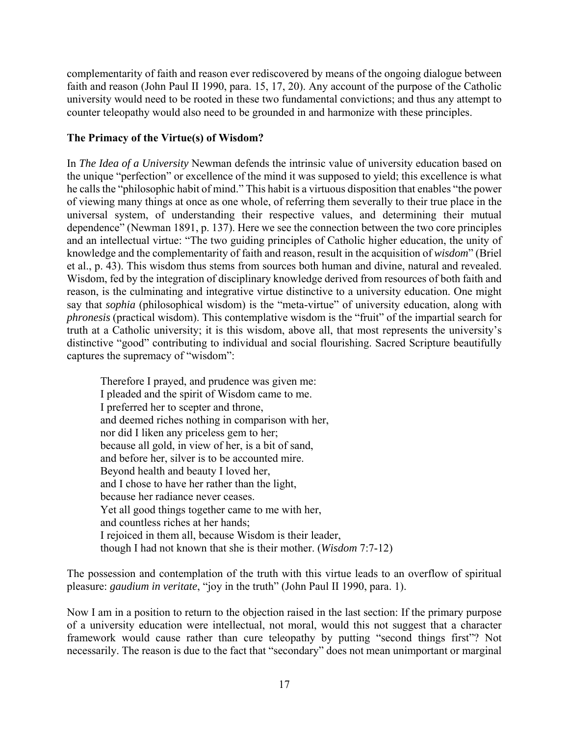complementarity of faith and reason ever rediscovered by means of the ongoing dialogue between faith and reason (John Paul II 1990, para. 15, 17, 20). Any account of the purpose of the Catholic university would need to be rooted in these two fundamental convictions; and thus any attempt to counter teleopathy would also need to be grounded in and harmonize with these principles.

## **The Primacy of the Virtue(s) of Wisdom?**

In *The Idea of a University* Newman defends the intrinsic value of university education based on the unique "perfection" or excellence of the mind it was supposed to yield; this excellence is what he calls the "philosophic habit of mind." This habit is a virtuous disposition that enables "the power of viewing many things at once as one whole, of referring them severally to their true place in the universal system, of understanding their respective values, and determining their mutual dependence" (Newman 1891, p. 137). Here we see the connection between the two core principles and an intellectual virtue: "The two guiding principles of Catholic higher education, the unity of knowledge and the complementarity of faith and reason, result in the acquisition of *wisdom*" (Briel et al., p. 43). This wisdom thus stems from sources both human and divine, natural and revealed. Wisdom, fed by the integration of disciplinary knowledge derived from resources of both faith and reason, is the culminating and integrative virtue distinctive to a university education. One might say that *sophia* (philosophical wisdom) is the "meta-virtue" of university education, along with *phronesis* (practical wisdom). This contemplative wisdom is the "fruit" of the impartial search for truth at a Catholic university; it is this wisdom, above all, that most represents the university's distinctive "good" contributing to individual and social flourishing. Sacred Scripture beautifully captures the supremacy of "wisdom":

Therefore I prayed, and prudence was given me: I pleaded and the spirit of Wisdom came to me. I preferred her to scepter and throne, and deemed riches nothing in comparison with her, nor did I liken any priceless gem to her; because all gold, in view of her, is a bit of sand, and before her, silver is to be accounted mire. Beyond health and beauty I loved her, and I chose to have her rather than the light, because her radiance never ceases. Yet all good things together came to me with her, and countless riches at her hands; I rejoiced in them all, because Wisdom is their leader, though I had not known that she is their mother. (*Wisdom* 7:7-12)

The possession and contemplation of the truth with this virtue leads to an overflow of spiritual pleasure: *gaudium in veritate*, "joy in the truth" (John Paul II 1990, para. 1).

Now I am in a position to return to the objection raised in the last section: If the primary purpose of a university education were intellectual, not moral, would this not suggest that a character framework would cause rather than cure teleopathy by putting "second things first"? Not necessarily. The reason is due to the fact that "secondary" does not mean unimportant or marginal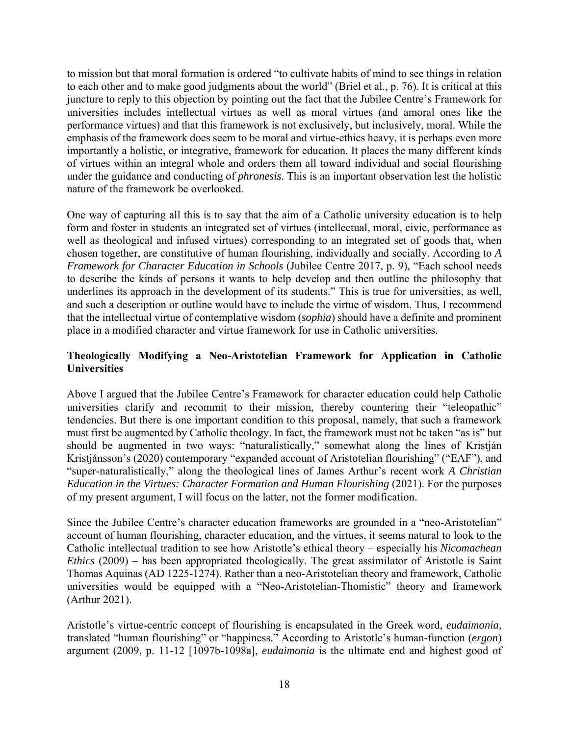to mission but that moral formation is ordered "to cultivate habits of mind to see things in relation to each other and to make good judgments about the world" (Briel et al., p. 76). It is critical at this juncture to reply to this objection by pointing out the fact that the Jubilee Centre's Framework for universities includes intellectual virtues as well as moral virtues (and amoral ones like the performance virtues) and that this framework is not exclusively, but inclusively, moral. While the emphasis of the framework does seem to be moral and virtue-ethics heavy, it is perhaps even more importantly a holistic, or integrative, framework for education. It places the many different kinds of virtues within an integral whole and orders them all toward individual and social flourishing under the guidance and conducting of *phronesis*. This is an important observation lest the holistic nature of the framework be overlooked.

One way of capturing all this is to say that the aim of a Catholic university education is to help form and foster in students an integrated set of virtues (intellectual, moral, civic, performance as well as theological and infused virtues) corresponding to an integrated set of goods that, when chosen together, are constitutive of human flourishing, individually and socially. According to *A Framework for Character Education in Schools* (Jubilee Centre 2017, p. 9), "Each school needs to describe the kinds of persons it wants to help develop and then outline the philosophy that underlines its approach in the development of its students." This is true for universities, as well, and such a description or outline would have to include the virtue of wisdom. Thus, I recommend that the intellectual virtue of contemplative wisdom (*sophia*) should have a definite and prominent place in a modified character and virtue framework for use in Catholic universities.

## **Theologically Modifying a Neo-Aristotelian Framework for Application in Catholic Universities**

Above I argued that the Jubilee Centre's Framework for character education could help Catholic universities clarify and recommit to their mission, thereby countering their "teleopathic" tendencies. But there is one important condition to this proposal, namely, that such a framework must first be augmented by Catholic theology. In fact, the framework must not be taken "as is" but should be augmented in two ways: "naturalistically," somewhat along the lines of Kristján Kristjánsson's (2020) contemporary "expanded account of Aristotelian flourishing" ("EAF"), and "super-naturalistically," along the theological lines of James Arthur's recent work *A Christian Education in the Virtues: Character Formation and Human Flourishing* (2021). For the purposes of my present argument, I will focus on the latter, not the former modification.

Since the Jubilee Centre's character education frameworks are grounded in a "neo-Aristotelian" account of human flourishing, character education, and the virtues, it seems natural to look to the Catholic intellectual tradition to see how Aristotle's ethical theory – especially his *Nicomachean Ethics* (2009) – has been appropriated theologically. The great assimilator of Aristotle is Saint Thomas Aquinas (AD 1225-1274). Rather than a neo-Aristotelian theory and framework, Catholic universities would be equipped with a "Neo-Aristotelian-Thomistic" theory and framework (Arthur 2021).

Aristotle's virtue-centric concept of flourishing is encapsulated in the Greek word, *eudaimonia*, translated "human flourishing" or "happiness." According to Aristotle's human-function (*ergon*) argument (2009, p. 11-12 [1097b-1098a], *eudaimonia* is the ultimate end and highest good of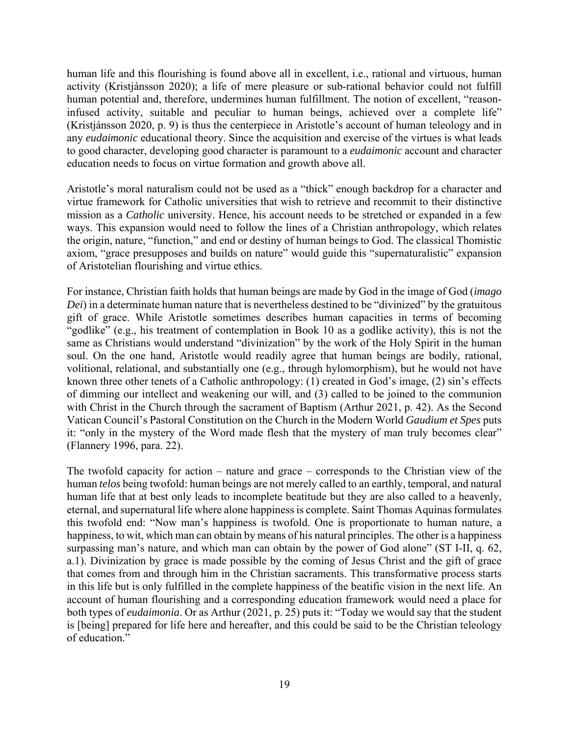human life and this flourishing is found above all in excellent, i.e., rational and virtuous, human activity (Kristjánsson 2020); a life of mere pleasure or sub-rational behavior could not fulfill human potential and, therefore, undermines human fulfillment. The notion of excellent, "reasoninfused activity, suitable and peculiar to human beings, achieved over a complete life" (Kristjánsson 2020, p. 9) is thus the centerpiece in Aristotle's account of human teleology and in any *eudaimonic* educational theory. Since the acquisition and exercise of the virtues is what leads to good character, developing good character is paramount to a *eudaimonic* account and character education needs to focus on virtue formation and growth above all.

Aristotle's moral naturalism could not be used as a "thick" enough backdrop for a character and virtue framework for Catholic universities that wish to retrieve and recommit to their distinctive mission as a *Catholic* university. Hence, his account needs to be stretched or expanded in a few ways. This expansion would need to follow the lines of a Christian anthropology, which relates the origin, nature, "function," and end or destiny of human beings to God. The classical Thomistic axiom, "grace presupposes and builds on nature" would guide this "supernaturalistic" expansion of Aristotelian flourishing and virtue ethics.

For instance, Christian faith holds that human beings are made by God in the image of God (*imago Dei*) in a determinate human nature that is nevertheless destined to be "divinized" by the gratuitous gift of grace. While Aristotle sometimes describes human capacities in terms of becoming "godlike" (e.g., his treatment of contemplation in Book 10 as a godlike activity), this is not the same as Christians would understand "divinization" by the work of the Holy Spirit in the human soul. On the one hand, Aristotle would readily agree that human beings are bodily, rational, volitional, relational, and substantially one (e.g., through hylomorphism), but he would not have known three other tenets of a Catholic anthropology: (1) created in God's image, (2) sin's effects of dimming our intellect and weakening our will, and (3) called to be joined to the communion with Christ in the Church through the sacrament of Baptism (Arthur 2021, p. 42). As the Second Vatican Council's Pastoral Constitution on the Church in the Modern World *Gaudium et Spes* puts it: "only in the mystery of the Word made flesh that the mystery of man truly becomes clear" (Flannery 1996, para. 22).

The twofold capacity for action – nature and grace – corresponds to the Christian view of the human *telos* being twofold: human beings are not merely called to an earthly, temporal, and natural human life that at best only leads to incomplete beatitude but they are also called to a heavenly, eternal, and supernatural life where alone happiness is complete. Saint Thomas Aquinas formulates this twofold end: "Now man's happiness is twofold. One is proportionate to human nature, a happiness, to wit, which man can obtain by means of his natural principles. The other is a happiness surpassing man's nature, and which man can obtain by the power of God alone" (ST I-II, q. 62, a.1). Divinization by grace is made possible by the coming of Jesus Christ and the gift of grace that comes from and through him in the Christian sacraments. This transformative process starts in this life but is only fulfilled in the complete happiness of the beatific vision in the next life. An account of human flourishing and a corresponding education framework would need a place for both types of *eudaimonia*. Or as Arthur (2021, p. 25) puts it: "Today we would say that the student is [being] prepared for life here and hereafter, and this could be said to be the Christian teleology of education."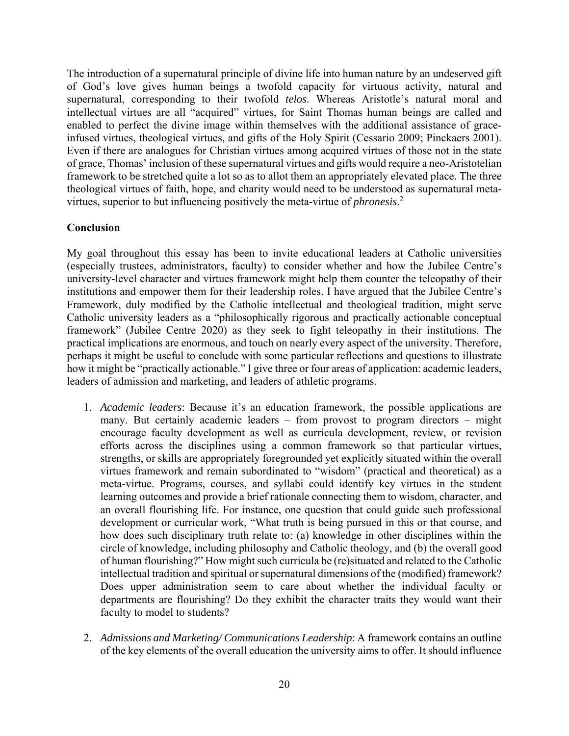The introduction of a supernatural principle of divine life into human nature by an undeserved gift of God's love gives human beings a twofold capacity for virtuous activity, natural and supernatural, corresponding to their twofold *telos*. Whereas Aristotle's natural moral and intellectual virtues are all "acquired" virtues, for Saint Thomas human beings are called and enabled to perfect the divine image within themselves with the additional assistance of graceinfused virtues, theological virtues, and gifts of the Holy Spirit (Cessario 2009; Pinckaers 2001). Even if there are analogues for Christian virtues among acquired virtues of those not in the state of grace, Thomas' inclusion of these supernatural virtues and gifts would require a neo-Aristotelian framework to be stretched quite a lot so as to allot them an appropriately elevated place. The three theological virtues of faith, hope, and charity would need to be understood as supernatural metavirtues, superior to but influencing positively the meta-virtue of *phronesis*. 2

#### **Conclusion**

My goal throughout this essay has been to invite educational leaders at Catholic universities (especially trustees, administrators, faculty) to consider whether and how the Jubilee Centre's university-level character and virtues framework might help them counter the teleopathy of their institutions and empower them for their leadership roles. I have argued that the Jubilee Centre's Framework, duly modified by the Catholic intellectual and theological tradition, might serve Catholic university leaders as a "philosophically rigorous and practically actionable conceptual framework" (Jubilee Centre 2020) as they seek to fight teleopathy in their institutions. The practical implications are enormous, and touch on nearly every aspect of the university. Therefore, perhaps it might be useful to conclude with some particular reflections and questions to illustrate how it might be "practically actionable." I give three or four areas of application: academic leaders, leaders of admission and marketing, and leaders of athletic programs.

- 1. *Academic leaders*: Because it's an education framework, the possible applications are many. But certainly academic leaders – from provost to program directors – might encourage faculty development as well as curricula development, review, or revision efforts across the disciplines using a common framework so that particular virtues, strengths, or skills are appropriately foregrounded yet explicitly situated within the overall virtues framework and remain subordinated to "wisdom" (practical and theoretical) as a meta-virtue. Programs, courses, and syllabi could identify key virtues in the student learning outcomes and provide a brief rationale connecting them to wisdom, character, and an overall flourishing life. For instance, one question that could guide such professional development or curricular work, "What truth is being pursued in this or that course, and how does such disciplinary truth relate to: (a) knowledge in other disciplines within the circle of knowledge, including philosophy and Catholic theology, and (b) the overall good of human flourishing?" How might such curricula be (re)situated and related to the Catholic intellectual tradition and spiritual or supernatural dimensions of the (modified) framework? Does upper administration seem to care about whether the individual faculty or departments are flourishing? Do they exhibit the character traits they would want their faculty to model to students?
- 2. *Admissions and Marketing/ Communications Leadership*: A framework contains an outline of the key elements of the overall education the university aims to offer. It should influence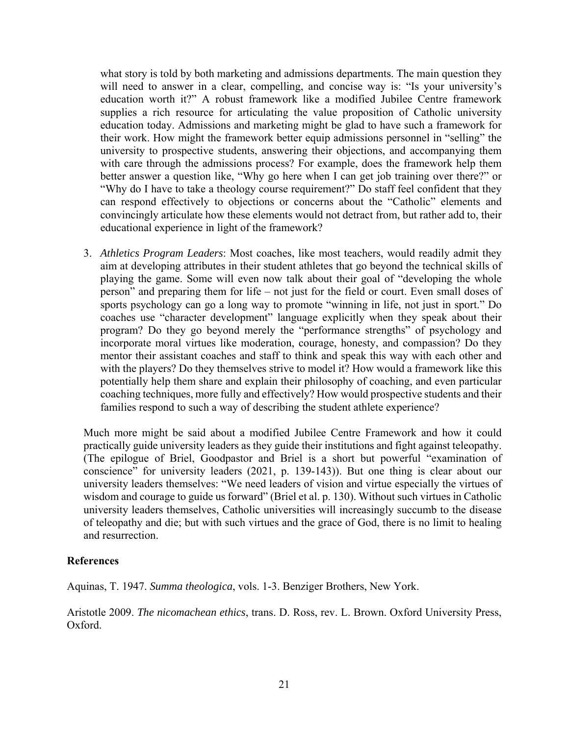what story is told by both marketing and admissions departments. The main question they will need to answer in a clear, compelling, and concise way is: "Is your university's education worth it?" A robust framework like a modified Jubilee Centre framework supplies a rich resource for articulating the value proposition of Catholic university education today. Admissions and marketing might be glad to have such a framework for their work. How might the framework better equip admissions personnel in "selling" the university to prospective students, answering their objections, and accompanying them with care through the admissions process? For example, does the framework help them better answer a question like, "Why go here when I can get job training over there?" or "Why do I have to take a theology course requirement?" Do staff feel confident that they can respond effectively to objections or concerns about the "Catholic" elements and convincingly articulate how these elements would not detract from, but rather add to, their educational experience in light of the framework?

3. *Athletics Program Leaders*: Most coaches, like most teachers, would readily admit they aim at developing attributes in their student athletes that go beyond the technical skills of playing the game. Some will even now talk about their goal of "developing the whole person" and preparing them for life – not just for the field or court. Even small doses of sports psychology can go a long way to promote "winning in life, not just in sport." Do coaches use "character development" language explicitly when they speak about their program? Do they go beyond merely the "performance strengths" of psychology and incorporate moral virtues like moderation, courage, honesty, and compassion? Do they mentor their assistant coaches and staff to think and speak this way with each other and with the players? Do they themselves strive to model it? How would a framework like this potentially help them share and explain their philosophy of coaching, and even particular coaching techniques, more fully and effectively? How would prospective students and their families respond to such a way of describing the student athlete experience?

Much more might be said about a modified Jubilee Centre Framework and how it could practically guide university leaders as they guide their institutions and fight against teleopathy. (The epilogue of Briel, Goodpastor and Briel is a short but powerful "examination of conscience" for university leaders (2021, p. 139-143)). But one thing is clear about our university leaders themselves: "We need leaders of vision and virtue especially the virtues of wisdom and courage to guide us forward" (Briel et al. p. 130). Without such virtues in Catholic university leaders themselves, Catholic universities will increasingly succumb to the disease of teleopathy and die; but with such virtues and the grace of God, there is no limit to healing and resurrection.

#### **References**

Aquinas, T. 1947. *Summa theologica*, vols. 1-3. Benziger Brothers, New York.

Aristotle 2009. *The nicomachean ethics*, trans. D. Ross, rev. L. Brown. Oxford University Press, Oxford.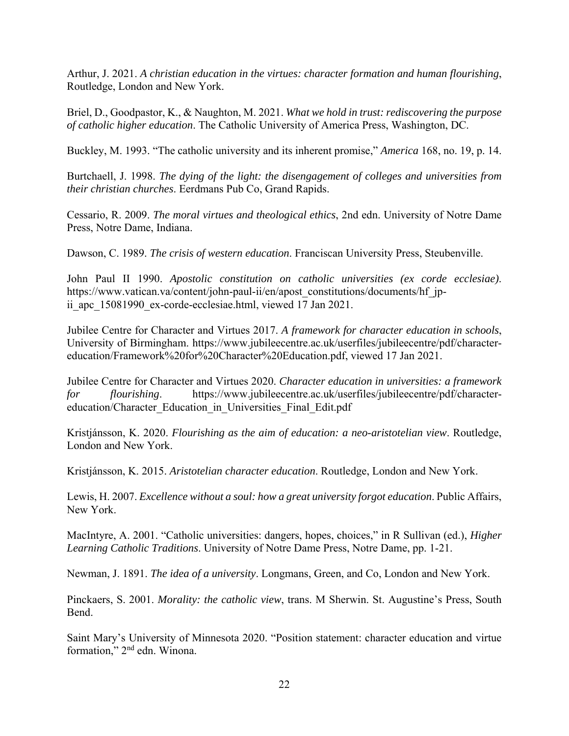Arthur, J. 2021. *A christian education in the virtues: character formation and human flourishing*, Routledge, London and New York.

Briel, D., Goodpastor, K., & Naughton, M. 2021. *What we hold in trust: rediscovering the purpose of catholic higher education*. The Catholic University of America Press, Washington, DC.

Buckley, M. 1993. "The catholic university and its inherent promise," *America* 168, no. 19, p. 14.

Burtchaell, J. 1998. *The dying of the light: the disengagement of colleges and universities from their christian churches*. Eerdmans Pub Co, Grand Rapids.

Cessario, R. 2009. *The moral virtues and theological ethics*, 2nd edn. University of Notre Dame Press, Notre Dame, Indiana.

Dawson, C. 1989. *The crisis of western education*. Franciscan University Press, Steubenville.

John Paul II 1990. *Apostolic constitution on catholic universities (ex corde ecclesiae)*. https://www.vatican.va/content/john-paul-ii/en/apost\_constitutions/documents/hf\_jpii apc 15081990 ex-corde-ecclesiae.html, viewed 17 Jan 2021.

Jubilee Centre for Character and Virtues 2017. *A framework for character education in schools*, University of Birmingham. https://www.jubileecentre.ac.uk/userfiles/jubileecentre/pdf/charactereducation/Framework%20for%20Character%20Education.pdf, viewed 17 Jan 2021.

Jubilee Centre for Character and Virtues 2020. *Character education in universities: a framework for flourishing*. https://www.jubileecentre.ac.uk/userfiles/jubileecentre/pdf/charactereducation/Character\_Education\_in\_Universities\_Final\_Edit.pdf

Kristjánsson, K. 2020. *Flourishing as the aim of education: a neo-aristotelian view*. Routledge, London and New York.

Kristjánsson, K. 2015. *Aristotelian character education*. Routledge, London and New York.

Lewis, H. 2007. *Excellence without a soul: how a great university forgot education*. Public Affairs, New York.

MacIntyre, A. 2001. "Catholic universities: dangers, hopes, choices," in R Sullivan (ed.), *Higher Learning Catholic Traditions*. University of Notre Dame Press, Notre Dame, pp. 1-21.

Newman, J. 1891. *The idea of a university*. Longmans, Green, and Co, London and New York.

Pinckaers, S. 2001. *Morality: the catholic view*, trans. M Sherwin. St. Augustine's Press, South Bend.

Saint Mary's University of Minnesota 2020. "Position statement: character education and virtue formation," 2nd edn. Winona.